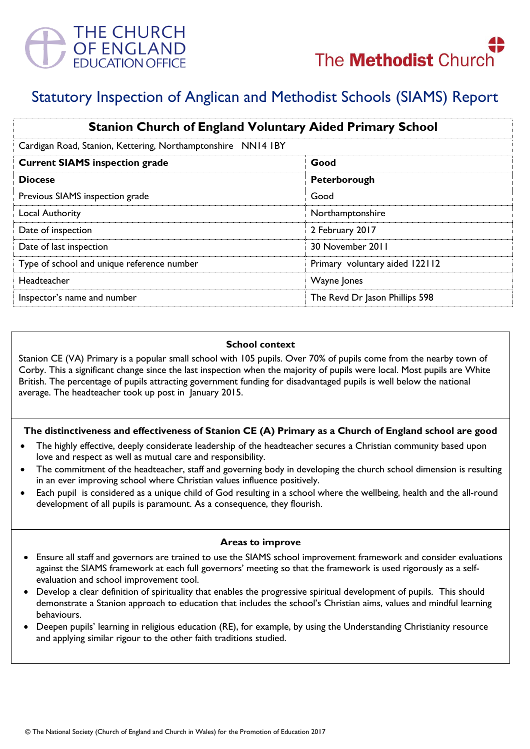

# Statutory Inspection of Anglican and Methodist Schools (SIAMS) Report

| <b>Stanion Church of England Voluntary Aided Primary School</b> |                                |
|-----------------------------------------------------------------|--------------------------------|
| Cardigan Road, Stanion, Kettering, Northamptonshire NN14 IBY    |                                |
| <b>Current SIAMS inspection grade</b>                           | Good                           |
| <b>Diocese</b>                                                  | Peterborough                   |
| Previous SIAMS inspection grade                                 | Good                           |
| Local Authority                                                 | Northamptonshire               |
| Date of inspection                                              | 2 February 2017                |
| Date of last inspection                                         | 30 November 2011               |
| Type of school and unique reference number                      | Primary voluntary aided 122112 |
| Headteacher                                                     | Wayne Jones                    |
| Inspector's name and number                                     | The Revd Dr Jason Phillips 598 |

## **School context**

Stanion CE (VA) Primary is a popular small school with 105 pupils. Over 70% of pupils come from the nearby town of Corby. This a significant change since the last inspection when the majority of pupils were local. Most pupils are White British. The percentage of pupils attracting government funding for disadvantaged pupils is well below the national average. The headteacher took up post in January 2015.

# **The distinctiveness and effectiveness of Stanion CE (A) Primary as a Church of England school are good**

- The highly effective, deeply considerate leadership of the headteacher secures a Christian community based upon love and respect as well as mutual care and responsibility.
- The commitment of the headteacher, staff and governing body in developing the church school dimension is resulting in an ever improving school where Christian values influence positively.
- Each pupil is considered as a unique child of God resulting in a school where the wellbeing, health and the all-round development of all pupils is paramount. As a consequence, they flourish.

#### **Areas to improve**

- Ensure all staff and governors are trained to use the SIAMS school improvement framework and consider evaluations against the SIAMS framework at each full governors' meeting so that the framework is used rigorously as a selfevaluation and school improvement tool.
- Develop a clear definition of spirituality that enables the progressive spiritual development of pupils. This should demonstrate a Stanion approach to education that includes the school's Christian aims, values and mindful learning behaviours.
- Deepen pupils' learning in religious education (RE), for example, by using the Understanding Christianity resource and applying similar rigour to the other faith traditions studied.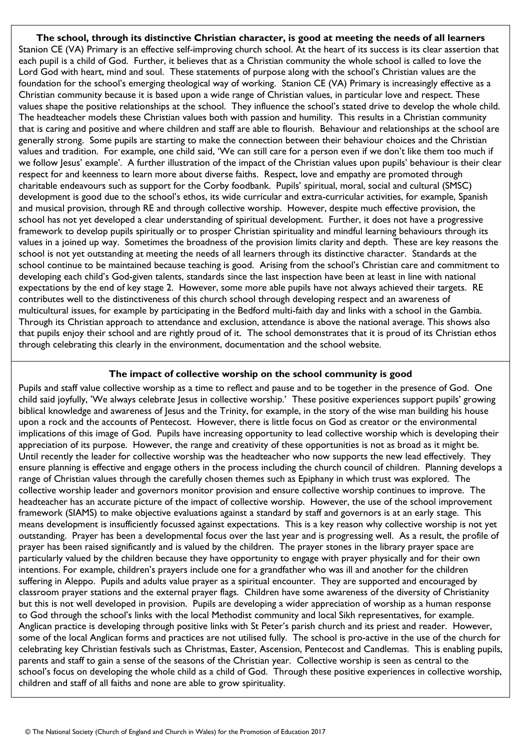**The school, through its distinctive Christian character, is good at meeting the needs of all learners** Stanion CE (VA) Primary is an effective self-improving church school. At the heart of its success is its clear assertion that each pupil is a child of God. Further, it believes that as a Christian community the whole school is called to love the Lord God with heart, mind and soul. These statements of purpose along with the school's Christian values are the foundation for the school's emerging theological way of working. Stanion CE (VA) Primary is increasingly effective as a Christian community because it is based upon a wide range of Christian values, in particular love and respect. These values shape the positive relationships at the school. They influence the school's stated drive to develop the whole child. The headteacher models these Christian values both with passion and humility. This results in a Christian community that is caring and positive and where children and staff are able to flourish. Behaviour and relationships at the school are generally strong. Some pupils are starting to make the connection between their behaviour choices and the Christian values and tradition. For example, one child said, 'We can still care for a person even if we don't like them too much if we follow Jesus' example'. A further illustration of the impact of the Christian values upon pupils' behaviour is their clear respect for and keenness to learn more about diverse faiths. Respect, love and empathy are promoted through charitable endeavours such as support for the Corby foodbank. Pupils' spiritual, moral, social and cultural (SMSC) development is good due to the school's ethos, its wide curricular and extra-curricular activities, for example, Spanish and musical provision, through RE and through collective worship. However, despite much effective provision, the school has not yet developed a clear understanding of spiritual development. Further, it does not have a progressive framework to develop pupils spiritually or to prosper Christian spirituality and mindful learning behaviours through its values in a joined up way. Sometimes the broadness of the provision limits clarity and depth. These are key reasons the school is not yet outstanding at meeting the needs of all learners through its distinctive character. Standards at the school continue to be maintained because teaching is good. Arising from the school's Christian care and commitment to developing each child's God-given talents, standards since the last inspection have been at least in line with national expectations by the end of key stage 2. However, some more able pupils have not always achieved their targets. RE contributes well to the distinctiveness of this church school through developing respect and an awareness of multicultural issues, for example by participating in the Bedford multi-faith day and links with a school in the Gambia. Through its Christian approach to attendance and exclusion, attendance is above the national average. This shows also that pupils enjoy their school and are rightly proud of it. The school demonstrates that it is proud of its Christian ethos through celebrating this clearly in the environment, documentation and the school website.

## **The impact of collective worship on the school community is good**

Pupils and staff value collective worship as a time to reflect and pause and to be together in the presence of God. One child said joyfully, 'We always celebrate Jesus in collective worship.' These positive experiences support pupils' growing biblical knowledge and awareness of Jesus and the Trinity, for example, in the story of the wise man building his house upon a rock and the accounts of Pentecost. However, there is little focus on God as creator or the environmental implications of this image of God. Pupils have increasing opportunity to lead collective worship which is developing their appreciation of its purpose. However, the range and creativity of these opportunities is not as broad as it might be. Until recently the leader for collective worship was the headteacher who now supports the new lead effectively. They ensure planning is effective and engage others in the process including the church council of children. Planning develops a range of Christian values through the carefully chosen themes such as Epiphany in which trust was explored. The collective worship leader and governors monitor provision and ensure collective worship continues to improve. The headteacher has an accurate picture of the impact of collective worship. However, the use of the school improvement framework (SIAMS) to make objective evaluations against a standard by staff and governors is at an early stage. This means development is insufficiently focussed against expectations. This is a key reason why collective worship is not yet outstanding. Prayer has been a developmental focus over the last year and is progressing well. As a result, the profile of prayer has been raised significantly and is valued by the children. The prayer stones in the library prayer space are particularly valued by the children because they have opportunity to engage with prayer physically and for their own intentions. For example, children's prayers include one for a grandfather who was ill and another for the children suffering in Aleppo. Pupils and adults value prayer as a spiritual encounter. They are supported and encouraged by classroom prayer stations and the external prayer flags. Children have some awareness of the diversity of Christianity but this is not well developed in provision. Pupils are developing a wider appreciation of worship as a human response to God through the school's links with the local Methodist community and local Sikh representatives, for example. Anglican practice is developing through positive links with St Peter's parish church and its priest and reader. However, some of the local Anglican forms and practices are not utilised fully. The school is pro-active in the use of the church for celebrating key Christian festivals such as Christmas, Easter, Ascension, Pentecost and Candlemas. This is enabling pupils, parents and staff to gain a sense of the seasons of the Christian year. Collective worship is seen as central to the school's focus on developing the whole child as a child of God. Through these positive experiences in collective worship, children and staff of all faiths and none are able to grow spirituality.